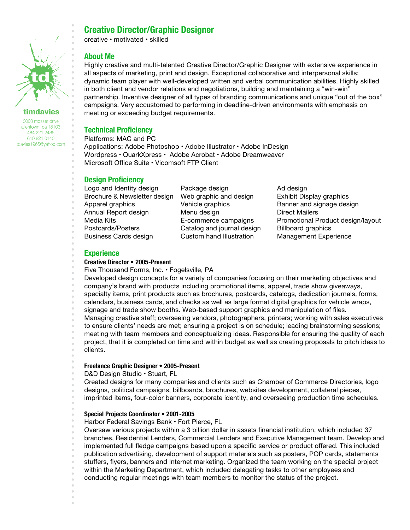

### timdavies

3003 mosser drive allentown, pa 18103 484.221.2485 610.821.0140 tdavies1965@yahoo.com

# **Creative Director/Graphic Designer**

creative • motivated • skilled

## **About Me**

Highly creative and multi-talented Creative Director/Graphic Designer with extensive experience in all aspects of marketing, print and design. Exceptional collaborative and interpersonal skills; dynamic team player with well-developed written and verbal communication abilities. Highly skilled in both client and vendor relations and negotiations, building and maintaining a "win-win" partnership. Inventive designer of all types of branding communications and unique "out of the box" campaigns. Very accustomed to performing in deadline-driven environments with emphasis on meeting or exceeding budget requirements.

## **Technical Proficiency**

Platforms: MAC and PC Applications: Adobe Photoshop • Adobe Illustrator • Adobe InDesign Wordpress • QuarkXpress • Adobe Acrobat • Adobe Dreamweaver Microsoft Office Suite • Vicomsoft FTP Client

## **Design Proficiency**

Logo and Identity design Package design Ad design Brochure & Newsletter design Web graphic and design Exhibit Display graphics Apparel graphics **Vehicle graphics** Banner and signage design Annual Report design Menu design Direct Mailers Media Kits E-commerce campaigns Promotional Product design/layout Postcards/Posters **Catalog and journal design** Billboard graphics Business Cards design Custom hand Illustration Management Experience

## **Experience**

#### **Creative Director • 2005-Present**

Five Thousand Forms, Inc. • Fogelsville, PA

Developed design concepts for a variety of companies focusing on their marketing objectives and company's brand with products including promotional items, apparel, trade show giveaways, specialty items, print products such as brochures, postcards, catalogs, dedication journals, forms, calendars, business cards, and checks as well as large format digital graphics for vehicle wraps, signage and trade show booths. Web-based support graphics and manipulation of files. Managing creative staff; overseeing vendors, photographers, printers; working with sales executives to ensure clients' needs are met; ensuring a project is on schedule; leading brainstorming sessions; meeting with team members and conceptualizing ideas. Responsible for ensuring the quality of each project, that it is completed on time and within budget as well as creating proposals to pitch ideas to clients.

#### **Freelance Graphic Designer • 2005-Present**

D&D Design Studio • Stuart, FL

Created designs for many companies and clients such as Chamber of Commerce Directories, logo designs, political campaigns, billboards, brochures, websites development, collateral pieces, imprinted items, four-color banners, corporate identity, and overseeing production time schedules.

#### **Special Projects Coordinator • 2001-2005**

Harbor Federal Savings Bank • Fort Pierce, FL

Oversaw various projects within a 3 billion dollar in assets financial institution, which included 37 branches, Residential Lenders, Commercial Lenders and Executive Management team. Develop and implemented full fledge campaigns based upon a specific service or product offered. This included publication advertising, development of support materials such as posters, POP cards, statements stuffers, flyers, banners and Internet marketing. Organized the team working on the special project within the Marketing Department, which included delegating tasks to other employees and conducting regular meetings with team members to monitor the status of the project.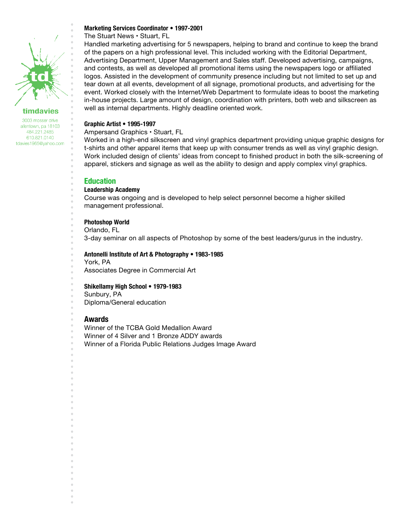

## timdavies

3003 mosser drive allentown, pa 18103 484.221.2485 610.821.0140 tdavies1965@yahoo.com

## **Marketing Services Coordinator • 1997-2001**

The Stuart News • Stuart, FL

Handled marketing advertising for 5 newspapers, helping to brand and continue to keep the brand of the papers on a high professional level. This included working with the Editorial Department, Advertising Department, Upper Management and Sales staff. Developed advertising, campaigns, and contests, as well as developed all promotional items using the newspapers logo or affiliated logos. Assisted in the development of community presence including but not limited to set up and tear down at all events, development of all signage, promotional products, and advertising for the event. Worked closely with the Internet/Web Department to formulate ideas to boost the marketing in-house projects. Large amount of design, coordination with printers, both web and silkscreen as well as internal departments. Highly deadline oriented work.

#### **Graphic Artist • 1995-1997**

Ampersand Graphics • Stuart, FL

Worked in a high-end silkscreen and vinyl graphics department providing unique graphic designs for t-shirts and other apparel items that keep up with consumer trends as well as vinyl graphic design. Work included design of clients' ideas from concept to finished product in both the silk-screening of apparel, stickers and signage as well as the ability to design and apply complex vinyl graphics.

#### **Education**

#### **Leadership Academy**

Course was ongoing and is developed to help select personnel become a higher skilled management professional.

#### **Photoshop World**

Orlando, FL

3-day seminar on all aspects of Photoshop by some of the best leaders/gurus in the industry.

#### **Antonelli Institute of Art & Photography • 1983-1985**

York, PA

Associates Degree in Commercial Art

#### **Shikellamy High School • 1979-1983**

Sunbury, PA

Diploma/General education

#### **Awards**

Winner of the TCBA Gold Medallion Award

Winner of 4 Silver and 1 Bronze ADDY awards

Winner of a Florida Public Relations Judges Image Award